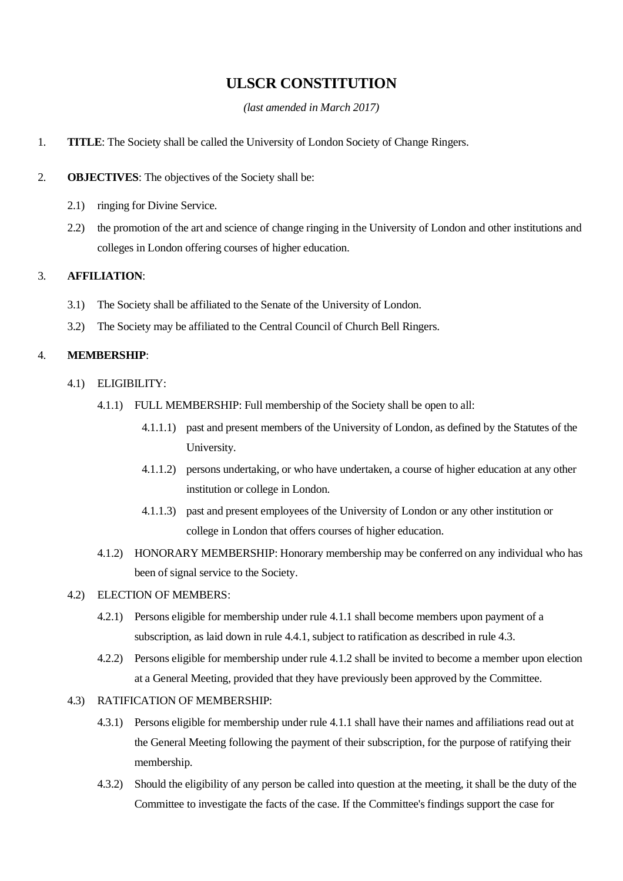# **ULSCR CONSTITUTION**

*(last amended in March 2017)*

- 1. **TITLE**: The Society shall be called the University of London Society of Change Ringers.
- 2. **OBJECTIVES**: The objectives of the Society shall be:
	- 2.1) ringing for Divine Service.
	- 2.2) the promotion of the art and science of change ringing in the University of London and other institutions and colleges in London offering courses of higher education.

# 3. **AFFILIATION**:

- 3.1) The Society shall be affiliated to the Senate of the University of London.
- 3.2) The Society may be affiliated to the Central Council of Church Bell Ringers.

# 4. **MEMBERSHIP**:

- 4.1) ELIGIBILITY:
	- 4.1.1) FULL MEMBERSHIP: Full membership of the Society shall be open to all:
		- 4.1.1.1) past and present members of the University of London, as defined by the Statutes of the University.
		- 4.1.1.2) persons undertaking, or who have undertaken, a course of higher education at any other institution or college in London.
		- 4.1.1.3) past and present employees of the University of London or any other institution or college in London that offers courses of higher education.
	- 4.1.2) HONORARY MEMBERSHIP: Honorary membership may be conferred on any individual who has been of signal service to the Society.

# 4.2) ELECTION OF MEMBERS:

- 4.2.1) Persons eligible for membership under rule 4.1.1 shall become members upon payment of a subscription, as laid down in rule 4.4.1, subject to ratification as described in rule 4.3.
- 4.2.2) Persons eligible for membership under rule 4.1.2 shall be invited to become a member upon election at a General Meeting, provided that they have previously been approved by the Committee.

# 4.3) RATIFICATION OF MEMBERSHIP:

- 4.3.1) Persons eligible for membership under rule 4.1.1 shall have their names and affiliations read out at the General Meeting following the payment of their subscription, for the purpose of ratifying their membership.
- 4.3.2) Should the eligibility of any person be called into question at the meeting, it shall be the duty of the Committee to investigate the facts of the case. If the Committee's findings support the case for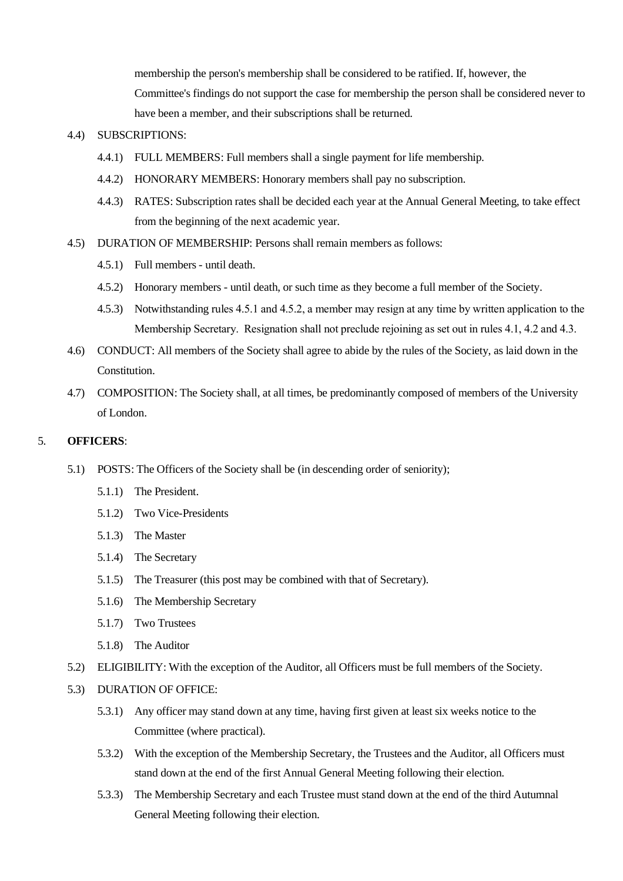membership the person's membership shall be considered to be ratified. If, however, the Committee's findings do not support the case for membership the person shall be considered never to have been a member, and their subscriptions shall be returned.

#### 4.4) SUBSCRIPTIONS:

- 4.4.1) FULL MEMBERS: Full members shall a single payment for life membership.
- 4.4.2) HONORARY MEMBERS: Honorary members shall pay no subscription.
- 4.4.3) RATES: Subscription rates shall be decided each year at the Annual General Meeting, to take effect from the beginning of the next academic year.
- 4.5) DURATION OF MEMBERSHIP: Persons shall remain members as follows:
	- 4.5.1) Full members until death.
	- 4.5.2) Honorary members until death, or such time as they become a full member of the Society.
	- 4.5.3) Notwithstanding rules 4.5.1 and 4.5.2, a member may resign at any time by written application to the Membership Secretary. Resignation shall not preclude rejoining as set out in rules 4.1, 4.2 and 4.3.
- 4.6) CONDUCT: All members of the Society shall agree to abide by the rules of the Society, as laid down in the **Constitution**
- 4.7) COMPOSITION: The Society shall, at all times, be predominantly composed of members of the University of London.

#### 5. **OFFICERS**:

- 5.1) POSTS: The Officers of the Society shall be (in descending order of seniority);
	- 5.1.1) The President.
	- 5.1.2) Two Vice-Presidents
	- 5.1.3) The Master
	- 5.1.4) The Secretary
	- 5.1.5) The Treasurer (this post may be combined with that of Secretary).
	- 5.1.6) The Membership Secretary
	- 5.1.7) Two Trustees
	- 5.1.8) The Auditor
- 5.2) ELIGIBILITY: With the exception of the Auditor, all Officers must be full members of the Society.
- 5.3) DURATION OF OFFICE:
	- 5.3.1) Any officer may stand down at any time, having first given at least six weeks notice to the Committee (where practical).
	- 5.3.2) With the exception of the Membership Secretary, the Trustees and the Auditor, all Officers must stand down at the end of the first Annual General Meeting following their election.
	- 5.3.3) The Membership Secretary and each Trustee must stand down at the end of the third Autumnal General Meeting following their election.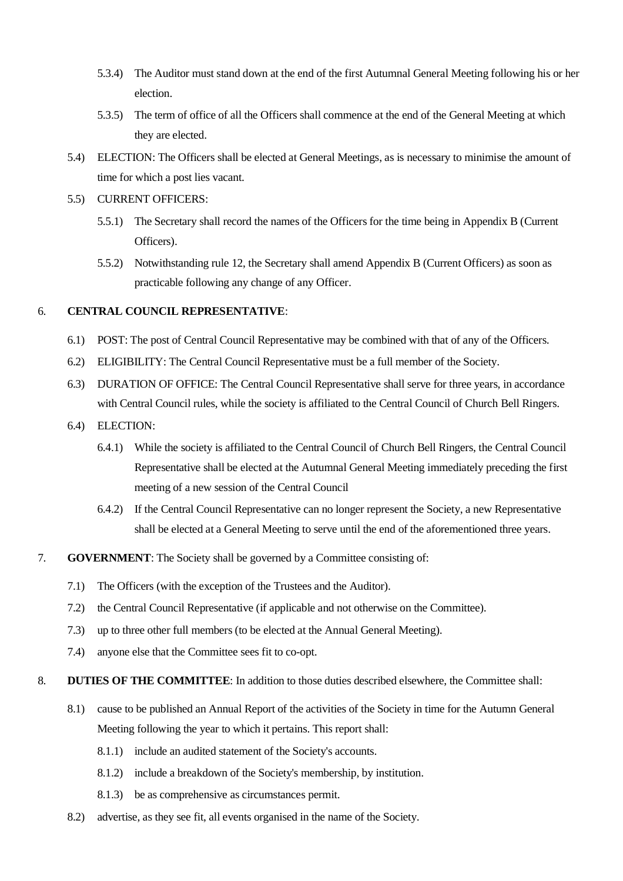- 5.3.4) The Auditor must stand down at the end of the first Autumnal General Meeting following his or her election.
- 5.3.5) The term of office of all the Officers shall commence at the end of the General Meeting at which they are elected.
- 5.4) ELECTION: The Officers shall be elected at General Meetings, as is necessary to minimise the amount of time for which a post lies vacant.
- 5.5) CURRENT OFFICERS:
	- 5.5.1) The Secretary shall record the names of the Officers for the time being in Appendix B (Current Officers).
	- 5.5.2) Notwithstanding rule 12, the Secretary shall amend Appendix B (Current Officers) as soon as practicable following any change of any Officer.

### 6. **CENTRAL COUNCIL REPRESENTATIVE**:

- 6.1) POST: The post of Central Council Representative may be combined with that of any of the Officers.
- 6.2) ELIGIBILITY: The Central Council Representative must be a full member of the Society.
- 6.3) DURATION OF OFFICE: The Central Council Representative shall serve for three years, in accordance with Central Council rules, while the society is affiliated to the Central Council of Church Bell Ringers.
- 6.4) ELECTION:
	- 6.4.1) While the society is affiliated to the Central Council of Church Bell Ringers, the Central Council Representative shall be elected at the Autumnal General Meeting immediately preceding the first meeting of a new session of the Central Council
	- 6.4.2) If the Central Council Representative can no longer represent the Society, a new Representative shall be elected at a General Meeting to serve until the end of the aforementioned three years.
- 7. **GOVERNMENT**: The Society shall be governed by a Committee consisting of:
	- 7.1) The Officers (with the exception of the Trustees and the Auditor).
	- 7.2) the Central Council Representative (if applicable and not otherwise on the Committee).
	- 7.3) up to three other full members (to be elected at the Annual General Meeting).
	- 7.4) anyone else that the Committee sees fit to co-opt.
- 8. **DUTIES OF THE COMMITTEE**: In addition to those duties described elsewhere, the Committee shall:
	- 8.1) cause to be published an Annual Report of the activities of the Society in time for the Autumn General Meeting following the year to which it pertains. This report shall:
		- 8.1.1) include an audited statement of the Society's accounts.
		- 8.1.2) include a breakdown of the Society's membership, by institution.
		- 8.1.3) be as comprehensive as circumstances permit.
	- 8.2) advertise, as they see fit, all events organised in the name of the Society.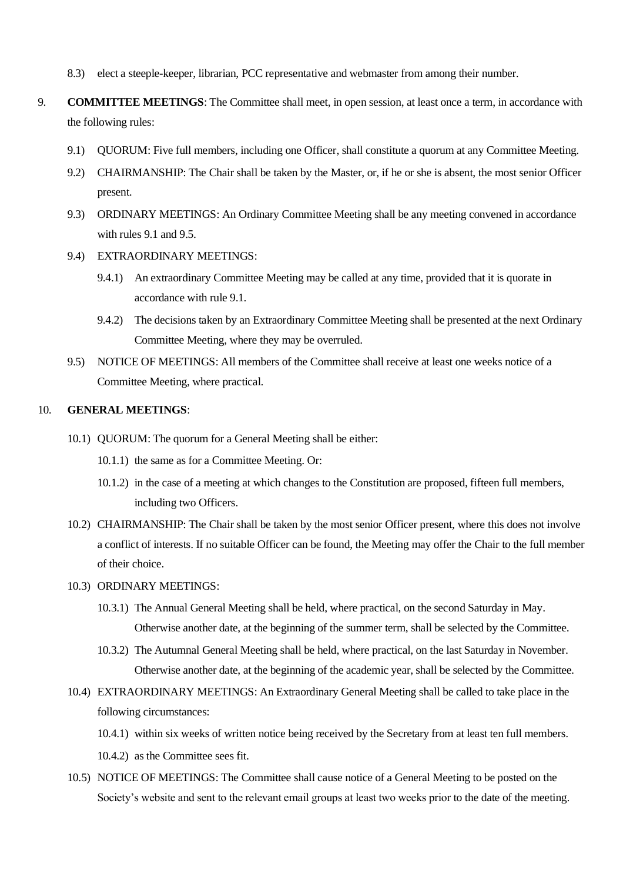- 8.3) elect a steeple-keeper, librarian, PCC representative and webmaster from among their number.
- 9. **COMMITTEE MEETINGS**: The Committee shall meet, in open session, at least once a term, in accordance with the following rules:
	- 9.1) QUORUM: Five full members, including one Officer, shall constitute a quorum at any Committee Meeting.
	- 9.2) CHAIRMANSHIP: The Chair shall be taken by the Master, or, if he or she is absent, the most senior Officer present.
	- 9.3) ORDINARY MEETINGS: An Ordinary Committee Meeting shall be any meeting convened in accordance with rules 9.1 and 9.5.
	- 9.4) EXTRAORDINARY MEETINGS:
		- 9.4.1) An extraordinary Committee Meeting may be called at any time, provided that it is quorate in accordance with rule 9.1.
		- 9.4.2) The decisions taken by an Extraordinary Committee Meeting shall be presented at the next Ordinary Committee Meeting, where they may be overruled.
	- 9.5) NOTICE OF MEETINGS: All members of the Committee shall receive at least one weeks notice of a Committee Meeting, where practical.

# 10. **GENERAL MEETINGS**:

- 10.1) QUORUM: The quorum for a General Meeting shall be either:
	- 10.1.1) the same as for a Committee Meeting. Or:
	- 10.1.2) in the case of a meeting at which changes to the Constitution are proposed, fifteen full members, including two Officers.
- 10.2) CHAIRMANSHIP: The Chair shall be taken by the most senior Officer present, where this does not involve a conflict of interests. If no suitable Officer can be found, the Meeting may offer the Chair to the full member of their choice.
- 10.3) ORDINARY MEETINGS:
	- 10.3.1) The Annual General Meeting shall be held, where practical, on the second Saturday in May. Otherwise another date, at the beginning of the summer term, shall be selected by the Committee.
	- 10.3.2) The Autumnal General Meeting shall be held, where practical, on the last Saturday in November. Otherwise another date, at the beginning of the academic year, shall be selected by the Committee.
- 10.4) EXTRAORDINARY MEETINGS: An Extraordinary General Meeting shall be called to take place in the following circumstances:
	- 10.4.1) within six weeks of written notice being received by the Secretary from at least ten full members.
	- 10.4.2) as the Committee sees fit.
- 10.5) NOTICE OF MEETINGS: The Committee shall cause notice of a General Meeting to be posted on the Society's website and sent to the relevant email groups at least two weeks prior to the date of the meeting.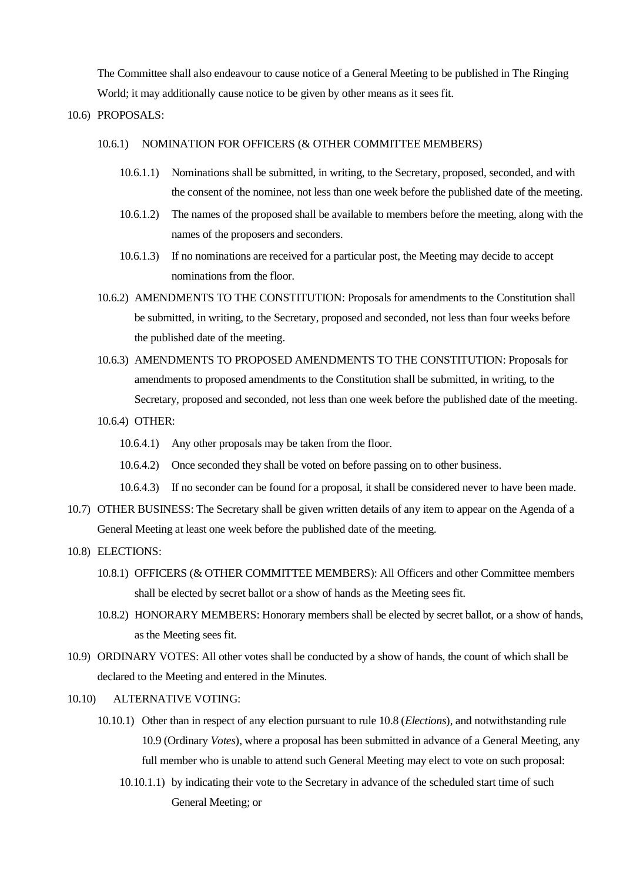The Committee shall also endeavour to cause notice of a General Meeting to be published in The Ringing World; it may additionally cause notice to be given by other means as it sees fit.

10.6) PROPOSALS:

### 10.6.1) NOMINATION FOR OFFICERS (& OTHER COMMITTEE MEMBERS)

- 10.6.1.1) Nominations shall be submitted, in writing, to the Secretary, proposed, seconded, and with the consent of the nominee, not less than one week before the published date of the meeting.
- 10.6.1.2) The names of the proposed shall be available to members before the meeting, along with the names of the proposers and seconders.
- 10.6.1.3) If no nominations are received for a particular post, the Meeting may decide to accept nominations from the floor.
- 10.6.2) AMENDMENTS TO THE CONSTITUTION: Proposals for amendments to the Constitution shall be submitted, in writing, to the Secretary, proposed and seconded, not less than four weeks before the published date of the meeting.
- 10.6.3) AMENDMENTS TO PROPOSED AMENDMENTS TO THE CONSTITUTION: Proposals for amendments to proposed amendments to the Constitution shall be submitted, in writing, to the Secretary, proposed and seconded, not less than one week before the published date of the meeting.
- 10.6.4) OTHER:
	- 10.6.4.1) Any other proposals may be taken from the floor.
	- 10.6.4.2) Once seconded they shall be voted on before passing on to other business.
	- 10.6.4.3) If no seconder can be found for a proposal, it shall be considered never to have been made.
- 10.7) OTHER BUSINESS: The Secretary shall be given written details of any item to appear on the Agenda of a General Meeting at least one week before the published date of the meeting.
- 10.8) ELECTIONS:
	- 10.8.1) OFFICERS (& OTHER COMMITTEE MEMBERS): All Officers and other Committee members shall be elected by secret ballot or a show of hands as the Meeting sees fit.
	- 10.8.2) HONORARY MEMBERS: Honorary members shall be elected by secret ballot, or a show of hands, as the Meeting sees fit.
- 10.9) ORDINARY VOTES: All other votes shall be conducted by a show of hands, the count of which shall be declared to the Meeting and entered in the Minutes.

# 10.10) ALTERNATIVE VOTING:

- 10.10.1) Other than in respect of any election pursuant to rule 10.8 (*Elections*), and notwithstanding rule 10.9 (Ordinary *Votes*), where a proposal has been submitted in advance of a General Meeting, any full member who is unable to attend such General Meeting may elect to vote on such proposal:
	- 10.10.1.1) by indicating their vote to the Secretary in advance of the scheduled start time of such General Meeting; or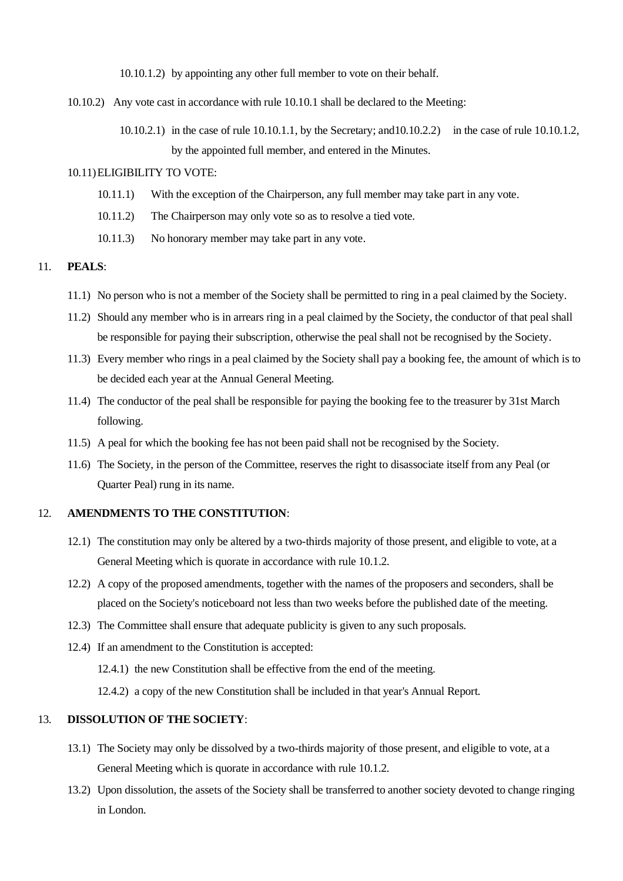10.10.1.2) by appointing any other full member to vote on their behalf.

- 10.10.2) Any vote cast in accordance with rule 10.10.1 shall be declared to the Meeting:
	- 10.10.2.1) in the case of rule 10.10.1.1, by the Secretary; and10.10.2.2) in the case of rule 10.10.1.2, by the appointed full member, and entered in the Minutes.

#### 10.11)ELIGIBILITY TO VOTE:

- 10.11.1) With the exception of the Chairperson, any full member may take part in any vote.
- 10.11.2) The Chairperson may only vote so as to resolve a tied vote.
- 10.11.3) No honorary member may take part in any vote.

# 11. **PEALS**:

- 11.1) No person who is not a member of the Society shall be permitted to ring in a peal claimed by the Society.
- 11.2) Should any member who is in arrears ring in a peal claimed by the Society, the conductor of that peal shall be responsible for paying their subscription, otherwise the peal shall not be recognised by the Society.
- 11.3) Every member who rings in a peal claimed by the Society shall pay a booking fee, the amount of which is to be decided each year at the Annual General Meeting.
- 11.4) The conductor of the peal shall be responsible for paying the booking fee to the treasurer by 31st March following.
- 11.5) A peal for which the booking fee has not been paid shall not be recognised by the Society.
- 11.6) The Society, in the person of the Committee, reserves the right to disassociate itself from any Peal (or Quarter Peal) rung in its name.

## 12. **AMENDMENTS TO THE CONSTITUTION**:

- 12.1) The constitution may only be altered by a two-thirds majority of those present, and eligible to vote, at a General Meeting which is quorate in accordance with rule 10.1.2.
- 12.2) A copy of the proposed amendments, together with the names of the proposers and seconders, shall be placed on the Society's noticeboard not less than two weeks before the published date of the meeting.
- 12.3) The Committee shall ensure that adequate publicity is given to any such proposals.
- 12.4) If an amendment to the Constitution is accepted:
	- 12.4.1) the new Constitution shall be effective from the end of the meeting.
	- 12.4.2) a copy of the new Constitution shall be included in that year's Annual Report.

# 13. **DISSOLUTION OF THE SOCIETY**:

- 13.1) The Society may only be dissolved by a two-thirds majority of those present, and eligible to vote, at a General Meeting which is quorate in accordance with rule 10.1.2.
- 13.2) Upon dissolution, the assets of the Society shall be transferred to another society devoted to change ringing in London.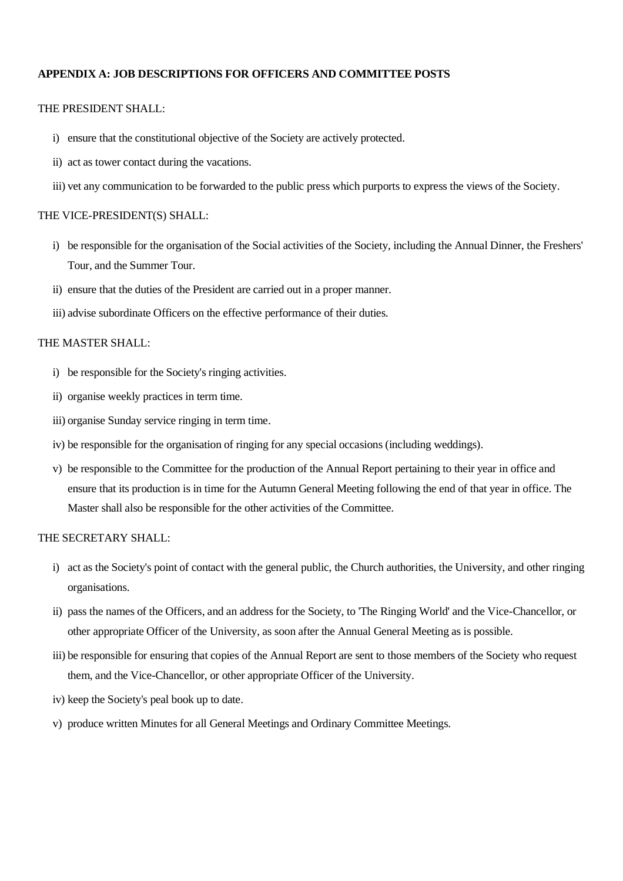### **APPENDIX A: JOB DESCRIPTIONS FOR OFFICERS AND COMMITTEE POSTS**

# THE PRESIDENT SHALL:

- i) ensure that the constitutional objective of the Society are actively protected.
- ii) act as tower contact during the vacations.
- iii) vet any communication to be forwarded to the public press which purports to express the views of the Society.

#### THE VICE-PRESIDENT(S) SHALL:

- i) be responsible for the organisation of the Social activities of the Society, including the Annual Dinner, the Freshers' Tour, and the Summer Tour.
- ii) ensure that the duties of the President are carried out in a proper manner.
- iii) advise subordinate Officers on the effective performance of their duties.

## THE MASTER SHALL:

- i) be responsible for the Society's ringing activities.
- ii) organise weekly practices in term time.
- iii) organise Sunday service ringing in term time.
- iv) be responsible for the organisation of ringing for any special occasions (including weddings).
- v) be responsible to the Committee for the production of the Annual Report pertaining to their year in office and ensure that its production is in time for the Autumn General Meeting following the end of that year in office. The Master shall also be responsible for the other activities of the Committee.

#### THE SECRETARY SHALL:

- i) act as the Society's point of contact with the general public, the Church authorities, the University, and other ringing organisations.
- ii) pass the names of the Officers, and an address for the Society, to 'The Ringing World' and the Vice-Chancellor, or other appropriate Officer of the University, as soon after the Annual General Meeting as is possible.
- iii) be responsible for ensuring that copies of the Annual Report are sent to those members of the Society who request them, and the Vice-Chancellor, or other appropriate Officer of the University.
- iv) keep the Society's peal book up to date.
- v) produce written Minutes for all General Meetings and Ordinary Committee Meetings.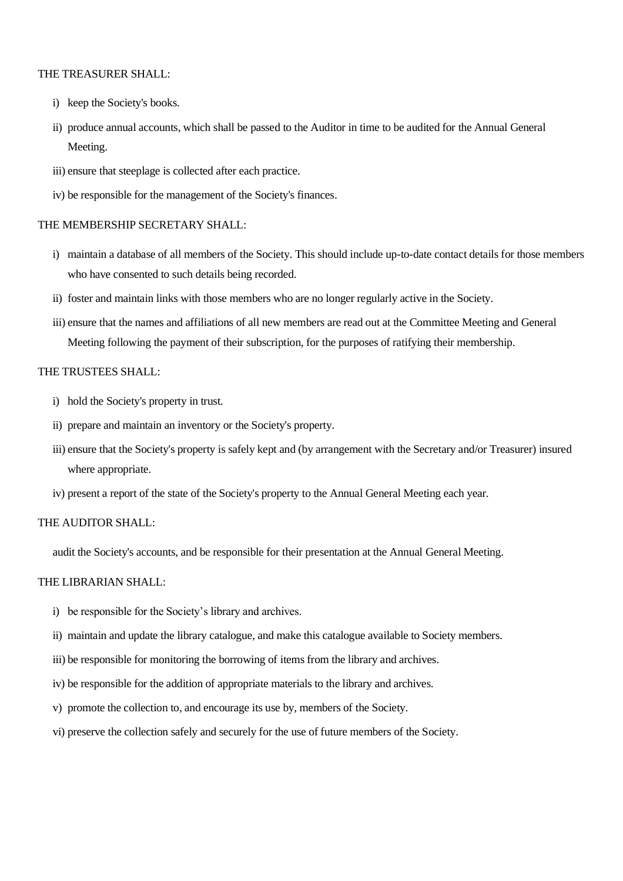## THE TREASURER SHALL:

- i) keep the Society's books.
- ii) produce annual accounts, which shall be passed to the Auditor in time to be audited for the Annual General Meeting.
- iii) ensure that steeplage is collected after each practice.
- iv) be responsible for the management of the Society's finances.

# THE MEMBERSHIP SECRETARY SHALL:

- i) maintain a database of all members of the Society. This should include up-to-date contact details for those members who have consented to such details being recorded.
- ii) foster and maintain links with those members who are no longer regularly active in the Society.
- iii) ensure that the names and affiliations of all new members are read out at the Committee Meeting and General Meeting following the payment of their subscription, for the purposes of ratifying their membership.

#### THE TRUSTEES SHALL:

- i) hold the Society's property in trust.
- ii) prepare and maintain an inventory or the Society's property.
- iii) ensure that the Society's property is safely kept and (by arrangement with the Secretary and/or Treasurer) insured where appropriate.
- iv) present a report of the state of the Society's property to the Annual General Meeting each year.

#### THE AUDITOR SHALL:

audit the Society's accounts, and be responsible for their presentation at the Annual General Meeting.

# THE LIBRARIAN SHALL:

- i) be responsible for the Society's library and archives.
- ii) maintain and update the library catalogue, and make this catalogue available to Society members.
- iii) be responsible for monitoring the borrowing of items from the library and archives.
- iv) be responsible for the addition of appropriate materials to the library and archives.
- v) promote the collection to, and encourage its use by, members of the Society.
- vi) preserve the collection safely and securely for the use of future members of the Society.